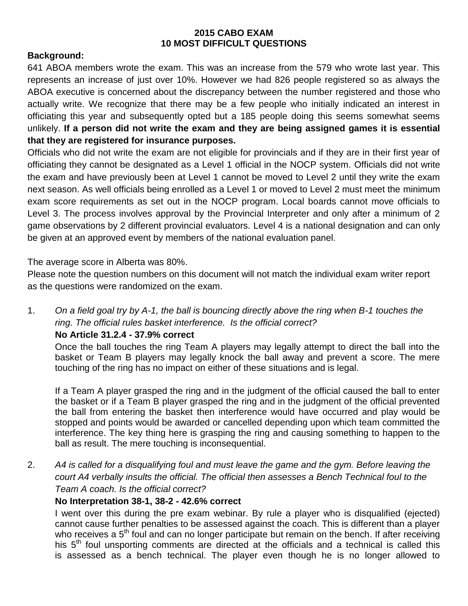#### **2015 CABO EXAM 10 MOST DIFFICULT QUESTIONS**

## **Background:**

641 ABOA members wrote the exam. This was an increase from the 579 who wrote last year. This represents an increase of just over 10%. However we had 826 people registered so as always the ABOA executive is concerned about the discrepancy between the number registered and those who actually write. We recognize that there may be a few people who initially indicated an interest in officiating this year and subsequently opted but a 185 people doing this seems somewhat seems unlikely. **If a person did not write the exam and they are being assigned games it is essential that they are registered for insurance purposes.**

Officials who did not write the exam are not eligible for provincials and if they are in their first year of officiating they cannot be designated as a Level 1 official in the NOCP system. Officials did not write the exam and have previously been at Level 1 cannot be moved to Level 2 until they write the exam next season. As well officials being enrolled as a Level 1 or moved to Level 2 must meet the minimum exam score requirements as set out in the NOCP program. Local boards cannot move officials to Level 3. The process involves approval by the Provincial Interpreter and only after a minimum of 2 game observations by 2 different provincial evaluators. Level 4 is a national designation and can only be given at an approved event by members of the national evaluation panel.

The average score in Alberta was 80%.

Please note the question numbers on this document will not match the individual exam writer report as the questions were randomized on the exam.

1. *On a field goal try by A-1, the ball is bouncing directly above the ring when B-1 touches the ring. The official rules basket interference. Is the official correct?* 

#### **No Article 31.2.4 - 37.9% correct**

Once the ball touches the ring Team A players may legally attempt to direct the ball into the basket or Team B players may legally knock the ball away and prevent a score. The mere touching of the ring has no impact on either of these situations and is legal.

If a Team A player grasped the ring and in the judgment of the official caused the ball to enter the basket or if a Team B player grasped the ring and in the judgment of the official prevented the ball from entering the basket then interference would have occurred and play would be stopped and points would be awarded or cancelled depending upon which team committed the interference. The key thing here is grasping the ring and causing something to happen to the ball as result. The mere touching is inconsequential.

2. *A4 is called for a disqualifying foul and must leave the game and the gym. Before leaving the court A4 verbally insults the official. The official then assesses a Bench Technical foul to the Team A coach. Is the official correct?*

#### **No Interpretation 38-1, 38-2 - 42.6% correct**

I went over this during the pre exam webinar. By rule a player who is disqualified (ejected) cannot cause further penalties to be assessed against the coach. This is different than a player who receives a  $5<sup>th</sup>$  foul and can no longer participate but remain on the bench. If after receiving his  $5<sup>th</sup>$  foul unsporting comments are directed at the officials and a technical is called this is assessed as a bench technical. The player even though he is no longer allowed to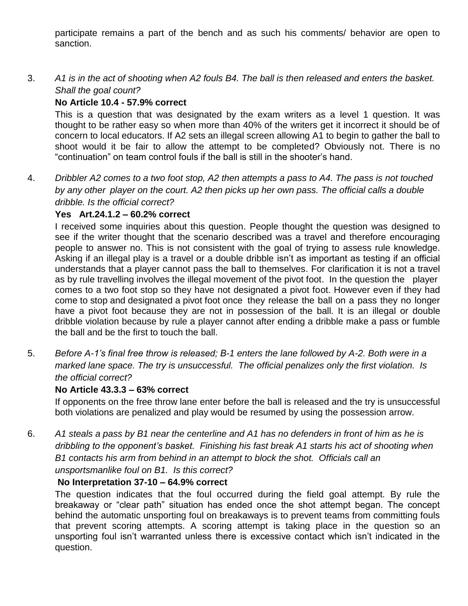participate remains a part of the bench and as such his comments/ behavior are open to sanction.

3. *A1 is in the act of shooting when A2 fouls B4. The ball is then released and enters the basket. Shall the goal count?*

# **No Article 10.4 - 57.9% correct**

This is a question that was designated by the exam writers as a level 1 question. It was thought to be rather easy so when more than 40% of the writers get it incorrect it should be of concern to local educators. If A2 sets an illegal screen allowing A1 to begin to gather the ball to shoot would it be fair to allow the attempt to be completed? Obviously not. There is no "continuation" on team control fouls if the ball is still in the shooter's hand.

4. *Dribbler A2 comes to a two foot stop, A2 then attempts a pass to A4. The pass is not touched by any other player on the court. A2 then picks up her own pass. The official calls a double dribble. Is the official correct?*

## **Yes Art.24.1.2 – 60.2% correct**

I received some inquiries about this question. People thought the question was designed to see if the writer thought that the scenario described was a travel and therefore encouraging people to answer no. This is not consistent with the goal of trying to assess rule knowledge. Asking if an illegal play is a travel or a double dribble isn't as important as testing if an official understands that a player cannot pass the ball to themselves. For clarification it is not a travel as by rule travelling involves the illegal movement of the pivot foot. In the question the player comes to a two foot stop so they have not designated a pivot foot. However even if they had come to stop and designated a pivot foot once they release the ball on a pass they no longer have a pivot foot because they are not in possession of the ball. It is an illegal or double dribble violation because by rule a player cannot after ending a dribble make a pass or fumble the ball and be the first to touch the ball.

5. *Before A-1's final free throw is released; B-1 enters the lane followed by A-2. Both were in a marked lane space. The try is unsuccessful. The official penalizes only the first violation. Is the official correct?*

## **No Article 43.3.3 – 63% correct**

If opponents on the free throw lane enter before the ball is released and the try is unsuccessful both violations are penalized and play would be resumed by using the possession arrow.

6. *A1 steals a pass by B1 near the centerline and A1 has no defenders in front of him as he is dribbling to the opponent's basket. Finishing his fast break A1 starts his act of shooting when B1 contacts his arm from behind in an attempt to block the shot. Officials call an* 

*unsportsmanlike foul on B1. Is this correct?*

## **No Interpretation 37-10 – 64.9% correct**

The question indicates that the foul occurred during the field goal attempt. By rule the breakaway or "clear path" situation has ended once the shot attempt began. The concept behind the automatic unsporting foul on breakaways is to prevent teams from committing fouls that prevent scoring attempts. A scoring attempt is taking place in the question so an unsporting foul isn't warranted unless there is excessive contact which isn't indicated in the question.